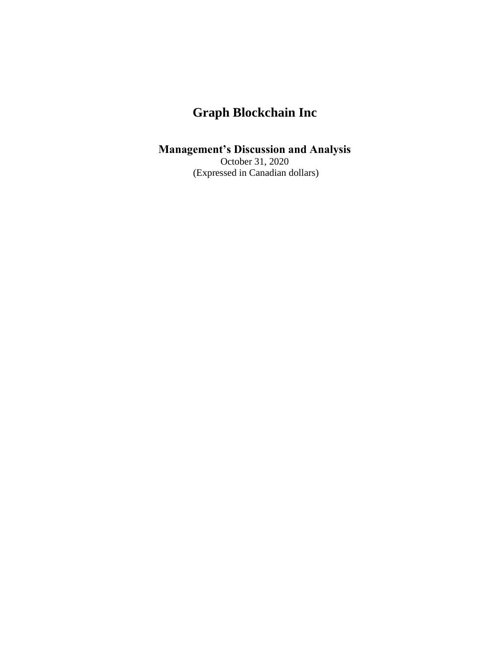#### **Management's Discussion and Analysis**

October 31, 2020 (Expressed in Canadian dollars)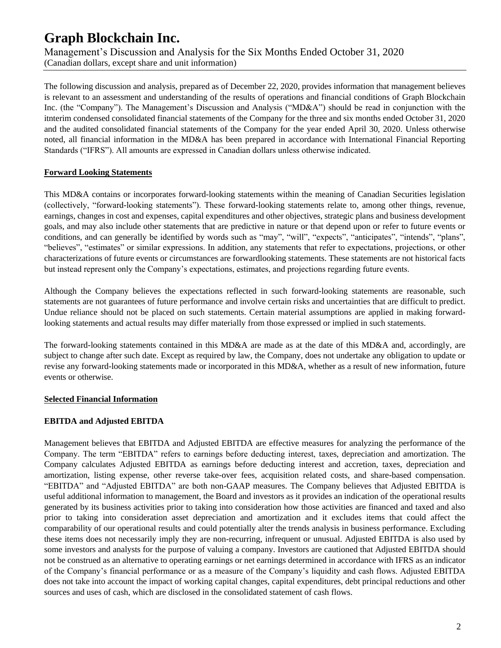Management's Discussion and Analysis for the Six Months Ended October 31, 2020 (Canadian dollars, except share and unit information)

The following discussion and analysis, prepared as of December 22, 2020, provides information that management believes is relevant to an assessment and understanding of the results of operations and financial conditions of Graph Blockchain Inc. (the "Company"). The Management's Discussion and Analysis ("MD&A") should be read in conjunction with the itnterim condensed consolidated financial statements of the Company for the three and six months ended October 31, 2020 and the audited consolidated financial statements of the Company for the year ended April 30, 2020. Unless otherwise noted, all financial information in the MD&A has been prepared in accordance with International Financial Reporting Standards ("IFRS"). All amounts are expressed in Canadian dollars unless otherwise indicated.

#### **Forward Looking Statements**

This MD&A contains or incorporates forward-looking statements within the meaning of Canadian Securities legislation (collectively, "forward-looking statements"). These forward-looking statements relate to, among other things, revenue, earnings, changes in cost and expenses, capital expenditures and other objectives, strategic plans and business development goals, and may also include other statements that are predictive in nature or that depend upon or refer to future events or conditions, and can generally be identified by words such as "may", "will", "expects", "anticipates", "intends", "plans", "believes", "estimates" or similar expressions. In addition, any statements that refer to expectations, projections, or other characterizations of future events or circumstances are forwardlooking statements. These statements are not historical facts but instead represent only the Company's expectations, estimates, and projections regarding future events.

Although the Company believes the expectations reflected in such forward-looking statements are reasonable, such statements are not guarantees of future performance and involve certain risks and uncertainties that are difficult to predict. Undue reliance should not be placed on such statements. Certain material assumptions are applied in making forwardlooking statements and actual results may differ materially from those expressed or implied in such statements.

The forward-looking statements contained in this MD&A are made as at the date of this MD&A and, accordingly, are subject to change after such date. Except as required by law, the Company, does not undertake any obligation to update or revise any forward-looking statements made or incorporated in this MD&A, whether as a result of new information, future events or otherwise.

#### **Selected Financial Information**

#### **EBITDA and Adjusted EBITDA**

Management believes that EBITDA and Adjusted EBITDA are effective measures for analyzing the performance of the Company. The term "EBITDA" refers to earnings before deducting interest, taxes, depreciation and amortization. The Company calculates Adjusted EBITDA as earnings before deducting interest and accretion, taxes, depreciation and amortization, listing expense, other reverse take-over fees, acquisition related costs, and share-based compensation. "EBITDA" and "Adjusted EBITDA" are both non-GAAP measures. The Company believes that Adjusted EBITDA is useful additional information to management, the Board and investors as it provides an indication of the operational results generated by its business activities prior to taking into consideration how those activities are financed and taxed and also prior to taking into consideration asset depreciation and amortization and it excludes items that could affect the comparability of our operational results and could potentially alter the trends analysis in business performance. Excluding these items does not necessarily imply they are non-recurring, infrequent or unusual. Adjusted EBITDA is also used by some investors and analysts for the purpose of valuing a company. Investors are cautioned that Adjusted EBITDA should not be construed as an alternative to operating earnings or net earnings determined in accordance with IFRS as an indicator of the Company's financial performance or as a measure of the Company's liquidity and cash flows. Adjusted EBITDA does not take into account the impact of working capital changes, capital expenditures, debt principal reductions and other sources and uses of cash, which are disclosed in the consolidated statement of cash flows.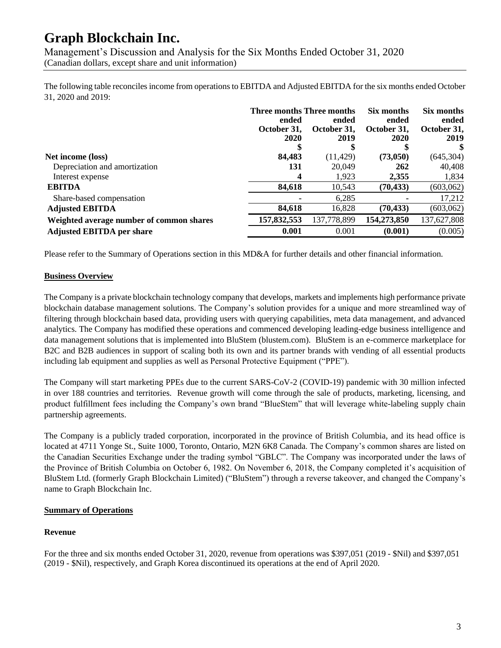Management's Discussion and Analysis for the Six Months Ended October 31, 2020 (Canadian dollars, except share and unit information)

The following table reconciles income from operations to EBITDA and Adjusted EBITDA for the six months ended October 31, 2020 and 2019:

|                                          | Three months Three months |                      | Six months           | Six months           |
|------------------------------------------|---------------------------|----------------------|----------------------|----------------------|
|                                          | ended<br>October 31,      | ended<br>October 31, | ended<br>October 31, | ended<br>October 31, |
|                                          | 2020                      | 2019                 | 2020                 | 2019                 |
|                                          |                           | S                    |                      |                      |
| Net income (loss)                        | 84,483                    | (11, 429)            | (73,050)             | (645, 304)           |
| Depreciation and amortization            | 131                       | 20,049               | 262                  | 40,408               |
| Interest expense                         | 4                         | 1,923                | 2,355                | 1,834                |
| <b>EBITDA</b>                            | 84,618                    | 10,543               | (70, 433)            | (603,062)            |
| Share-based compensation                 |                           | 6,285                |                      | 17,212               |
| <b>Adjusted EBITDA</b>                   | 84,618                    | 16,828               | (70, 433)            | (603,062)            |
| Weighted average number of common shares | 157,832,553               | 137,778,899          | 154,273,850          | 137,627,808          |
| <b>Adjusted EBITDA per share</b>         | 0.001                     | 0.001                | (0.001)              | (0.005)              |

Please refer to the Summary of Operations section in this MD&A for further details and other financial information.

#### **Business Overview**

The Company is a private blockchain technology company that develops, markets and implements high performance private blockchain database management solutions. The Company's solution provides for a unique and more streamlined way of filtering through blockchain based data, providing users with querying capabilities, meta data management, and advanced analytics. The Company has modified these operations and commenced developing leading-edge business intelligence and data management solutions that is implemented into BluStem (blustem.com). BluStem is an e-commerce marketplace for B2C and B2B audiences in support of scaling both its own and its partner brands with vending of all essential products including lab equipment and supplies as well as Personal Protective Equipment ("PPE").

The Company will start marketing PPEs due to the current SARS-CoV-2 (COVID-19) pandemic with 30 million infected in over 188 countries and territories. Revenue growth will come through the sale of products, marketing, licensing, and product fulfillment fees including the Company's own brand "BlueStem" that will leverage white-labeling supply chain partnership agreements.

The Company is a publicly traded corporation, incorporated in the province of British Columbia, and its head office is located at 4711 Yonge St., Suite 1000, Toronto, Ontario, M2N 6K8 Canada. The Company's common shares are listed on the Canadian Securities Exchange under the trading symbol "GBLC". The Company was incorporated under the laws of the Province of British Columbia on October 6, 1982. On November 6, 2018, the Company completed it's acquisition of BluStem Ltd. (formerly Graph Blockchain Limited) ("BluStem") through a reverse takeover, and changed the Company's name to Graph Blockchain Inc.

#### **Summary of Operations**

#### **Revenue**

For the three and six months ended October 31, 2020, revenue from operations was \$397,051 (2019 - \$Nil) and \$397,051 (2019 - \$Nil), respectively, and Graph Korea discontinued its operations at the end of April 2020.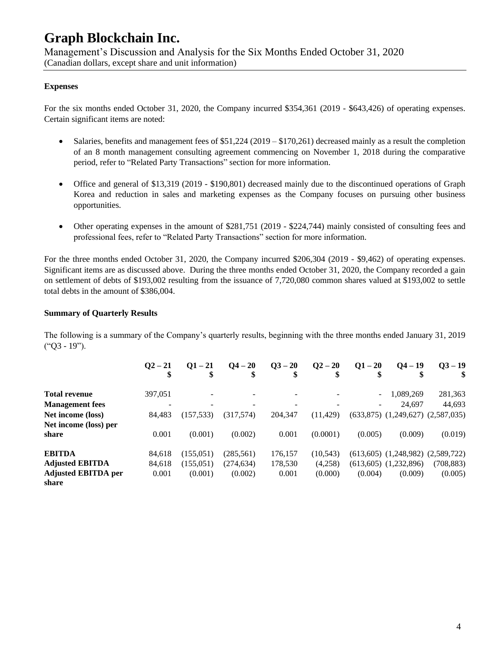Management's Discussion and Analysis for the Six Months Ended October 31, 2020 (Canadian dollars, except share and unit information)

#### **Expenses**

For the six months ended October 31, 2020, the Company incurred \$354,361 (2019 - \$643,426) of operating expenses. Certain significant items are noted:

- Salaries, benefits and management fees of  $$51,224$  (2019  $$170,261$ ) decreased mainly as a result the completion of an 8 month management consulting agreement commencing on November 1, 2018 during the comparative period, refer to "Related Party Transactions" section for more information.
- Office and general of \$13,319 (2019 \$190,801) decreased mainly due to the discontinued operations of Graph Korea and reduction in sales and marketing expenses as the Company focuses on pursuing other business opportunities.
- Other operating expenses in the amount of \$281,751 (2019 \$224,744) mainly consisted of consulting fees and professional fees, refer to "Related Party Transactions" section for more information.

For the three months ended October 31, 2020, the Company incurred \$206,304 (2019 - \$9,462) of operating expenses. Significant items are as discussed above. During the three months ended October 31, 2020, the Company recorded a gain on settlement of debts of \$193,002 resulting from the issuance of 7,720,080 common shares valued at \$193,002 to settle total debts in the amount of \$386,004.

#### **Summary of Quarterly Results**

The following is a summary of the Company's quarterly results, beginning with the three months ended January 31, 2019 ("Q3 - 19").

|                            | $Q^2 - 21$ | $O1 - 21$  | $Q_4 - 20$ | $Q3 - 20$ | $Q2 - 20$ | $Q1 - 20$      | $Q_4 - 19$                              | $03 - 19$  |
|----------------------------|------------|------------|------------|-----------|-----------|----------------|-----------------------------------------|------------|
| <b>Total revenue</b>       | 397,051    |            |            |           |           | $\blacksquare$ | 1,089,269                               | 281,363    |
| <b>Management</b> fees     |            |            |            |           |           | ۰.             | 24.697                                  | 44,693     |
| Net income (loss)          | 84,483     | (157, 533) | (317,574)  | 204,347   | (11, 429) |                | $(633,875)$ $(1,249,627)$ $(2,587,035)$ |            |
| Net income (loss) per      |            |            |            |           |           |                |                                         |            |
| share                      | 0.001      | (0.001)    | (0.002)    | 0.001     | (0.0001)  | (0.005)        | (0.009)                                 | (0.019)    |
| <b>EBITDA</b>              | 84.618     | (155, 051) | (285, 561) | 176,157   | (10, 543) |                | $(613,605)$ $(1,248,982)$ $(2,589,722)$ |            |
| <b>Adjusted EBITDA</b>     | 84,618     | (155, 051) | (274, 634) | 178,530   | (4,258)   |                | $(613,605)$ $(1,232,896)$               | (708, 883) |
| <b>Adjusted EBITDA per</b> | 0.001      | (0.001)    | (0.002)    | 0.001     | (0.000)   | (0.004)        | (0.009)                                 | (0.005)    |
| share                      |            |            |            |           |           |                |                                         |            |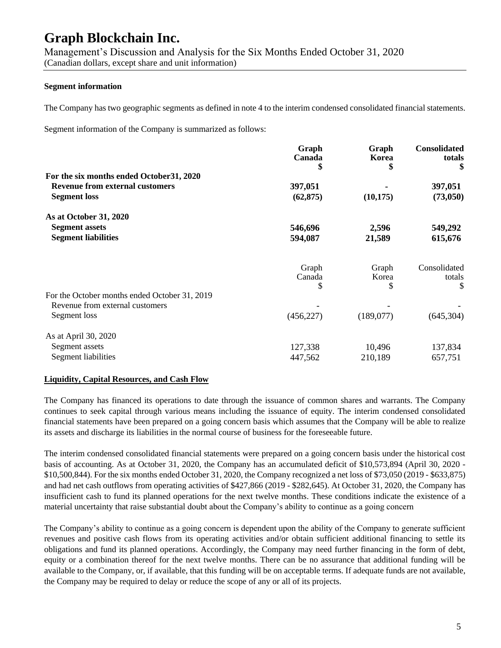Management's Discussion and Analysis for the Six Months Ended October 31, 2020 (Canadian dollars, except share and unit information)

#### **Segment information**

The Company has two geographic segments as defined in note 4 to the interim condensed consolidated financial statements.

Segment information of the Company is summarized as follows:

| Graph<br>Canada | Graph<br>Korea | Consolidated<br>totals<br>\$ |
|-----------------|----------------|------------------------------|
|                 |                |                              |
| 397,051         |                | 397,051                      |
| (62, 875)       | (10, 175)      | (73,050)                     |
|                 |                |                              |
| 546,696         | 2,596          | 549,292                      |
| 594,087         | 21,589         | 615,676                      |
|                 |                | Consolidated                 |
| Canada          | Korea          | totals                       |
| S               | \$             | \$                           |
|                 |                |                              |
|                 |                |                              |
| (456, 227)      | (189,077)      | (645, 304)                   |
|                 |                |                              |
| 127,338         | 10,496         | 137,834                      |
| 447,562         | 210,189        | 657,751                      |
|                 | \$<br>Graph    | Graph                        |

#### **Liquidity, Capital Resources, and Cash Flow**

The Company has financed its operations to date through the issuance of common shares and warrants. The Company continues to seek capital through various means including the issuance of equity. The interim condensed consolidated financial statements have been prepared on a going concern basis which assumes that the Company will be able to realize its assets and discharge its liabilities in the normal course of business for the foreseeable future.

The interim condensed consolidated financial statements were prepared on a going concern basis under the historical cost basis of accounting. As at October 31, 2020, the Company has an accumulated deficit of \$10,573,894 (April 30, 2020 - \$10,500,844). For the six months ended October 31, 2020, the Company recognized a net loss of \$73,050 (2019 - \$633,875) and had net cash outflows from operating activities of \$427,866 (2019 - \$282,645). At October 31, 2020, the Company has insufficient cash to fund its planned operations for the next twelve months. These conditions indicate the existence of a material uncertainty that raise substantial doubt about the Company's ability to continue as a going concern

The Company's ability to continue as a going concern is dependent upon the ability of the Company to generate sufficient revenues and positive cash flows from its operating activities and/or obtain sufficient additional financing to settle its obligations and fund its planned operations. Accordingly, the Company may need further financing in the form of debt, equity or a combination thereof for the next twelve months. There can be no assurance that additional funding will be available to the Company, or, if available, that this funding will be on acceptable terms. If adequate funds are not available, the Company may be required to delay or reduce the scope of any or all of its projects.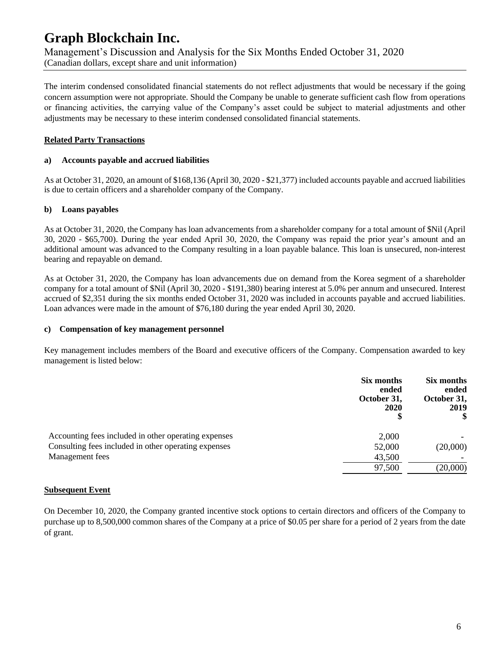### **Graph Blockchain Inc.** Management's Discussion and Analysis for the Six Months Ended October 31, 2020 (Canadian dollars, except share and unit information)

The interim condensed consolidated financial statements do not reflect adjustments that would be necessary if the going concern assumption were not appropriate. Should the Company be unable to generate sufficient cash flow from operations or financing activities, the carrying value of the Company's asset could be subject to material adjustments and other adjustments may be necessary to these interim condensed consolidated financial statements.

#### **Related Party Transactions**

#### **a) Accounts payable and accrued liabilities**

As at October 31, 2020, an amount of \$168,136 (April 30, 2020 - \$21,377) included accounts payable and accrued liabilities is due to certain officers and a shareholder company of the Company.

#### **b) Loans payables**

As at October 31, 2020, the Company has loan advancements from a shareholder company for a total amount of \$Nil (April 30, 2020 - \$65,700). During the year ended April 30, 2020, the Company was repaid the prior year's amount and an additional amount was advanced to the Company resulting in a loan payable balance. This loan is unsecured, non-interest bearing and repayable on demand.

As at October 31, 2020, the Company has loan advancements due on demand from the Korea segment of a shareholder company for a total amount of \$Nil (April 30, 2020 - \$191,380) bearing interest at 5.0% per annum and unsecured. Interest accrued of \$2,351 during the six months ended October 31, 2020 was included in accounts payable and accrued liabilities. Loan advances were made in the amount of \$76,180 during the year ended April 30, 2020.

#### **c) Compensation of key management personnel**

Key management includes members of the Board and executive officers of the Company. Compensation awarded to key management is listed below:

|                                                      | Six months<br>ended<br>October 31,<br>2020 | Six months<br>ended<br>October 31,<br>2019<br>S |
|------------------------------------------------------|--------------------------------------------|-------------------------------------------------|
| Accounting fees included in other operating expenses | 2,000                                      |                                                 |
| Consulting fees included in other operating expenses | 52,000                                     | (20,000)                                        |
| Management fees                                      | 43,500                                     |                                                 |
|                                                      | 97,500                                     | (20,000)                                        |
|                                                      |                                            |                                                 |

#### **Subsequent Event**

On December 10, 2020, the Company granted incentive stock options to certain directors and officers of the Company to purchase up to 8,500,000 common shares of the Company at a price of \$0.05 per share for a period of 2 years from the date of grant.